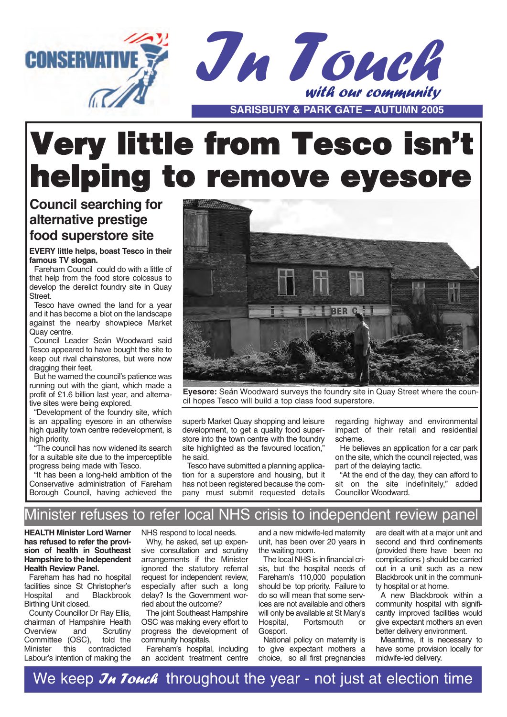

# Very little from Tesco isn't helping to remove eyesore

### **Council searching for alternative prestige food superstore site**

**EVERY little helps, boast Tesco in their famous TV slogan.**

Fareham Council could do with a little of that help from the food store colossus to develop the derelict foundry site in Quay Street.

Tesco have owned the land for a year and it has become a blot on the landscape against the nearby showpiece Market Quay centre.

Council Leader Seán Woodward said Tesco appeared to have bought the site to keep out rival chainstores, but were now dragging their feet.

But he warned the council's patience was running out with the giant, which made a profit of £1.6 billion last year, and alternative sites were being explored.

"Development of the foundry site, which is an appalling eyesore in an otherwise high quality town centre redevelopment, is high priority.

"The council has now widened its search for a suitable site due to the imperceptible progress being made with Tesco.

"It has been a long-held ambition of the Conservative administration of Fareham Borough Council, having achieved the



**Eyesore:** Seán Woodward surveys the foundry site in Quay Street where the council hopes Tesco will build a top class food superstore.

superb Market Quay shopping and leisure development, to get a quality food superstore into the town centre with the foundry site highlighted as the favoured location. he said.

Tesco have submitted a planning application for a superstore and housing, but it has not been registered because the company must submit requested details

regarding highway and environmental impact of their retail and residential scheme.

He believes an application for a car park on the site, which the council rejected, was part of the delaying tactic.

"At the end of the day, they can afford to sit on the site indefinitely," added Councillor Woodward.

## Minister refuses to refer local NHS crisis to independent review panel

**HEALTH Minister Lord Warner has refused to refer the provision of health in Southeast Hampshire to the Independent Health Review Panel.**

Fareham has had no hospital facilities since St Christopher's Hospital and Blackbrook Birthing Unit closed.

County Councillor Dr Ray Ellis, chairman of Hampshire Health<br>Overview and Scrutiny Overview and Committee (OSC), told the<br>Minister this contradicted this contradicted Labour's intention of making the NHS respond to local needs.

Why, he asked, set up expensive consultation and scrutiny arrangements if the Minister ignored the statutory referral request for independent review, especially after such a long delay? Is the Government worried about the outcome?

The joint Southeast Hampshire OSC was making every effort to progress the development of community hospitals.

Fareham's hospital, including an accident treatment centre and a new midwife-led maternity unit, has been over 20 years in the waiting room.

The local NHS is in financial crisis, but the hospital needs of Fareham's 110,000 population should be top priority. Failure to do so will mean that some services are not available and others will only be available at St Mary's<br>Hospital. Portsmouth or Portsmouth or Gosport.

National policy on maternity is to give expectant mothers a choice, so all first pregnancies are dealt with at a major unit and second and third confinements (provided there have been no complications ) should be carried out in a unit such as a new Blackbrook unit in the community hospital or at home.

A new Blackbrook within a community hospital with significantly improved facilities would give expectant mothers an even better delivery environment.

Meantime, it is necessary to have some provision locally for midwife-led delivery.

We keep Jn Touch throughout the year - not just at election time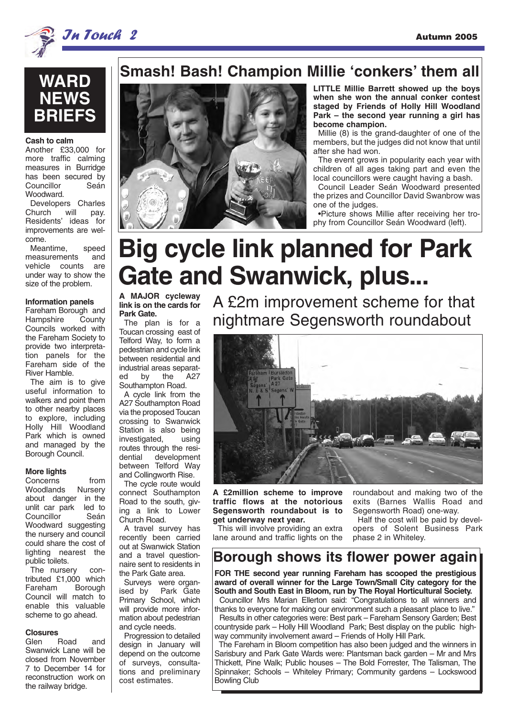

## **In Touch 2** Autumn 2005



#### **Cash to calm**

Another £33,000 for more traffic calming measures in Burridge has been secured by Councillor Seán Woodward.

Developers Charles Church will pay. Residents' ideas for improvements are welcome.

Meantime, speed measurements and vehicle counts are under way to show the size of the problem.

#### **Information panels**

Fareham Borough and Hampshire County Councils worked with the Fareham Society to provide two interpretation panels for the Fareham side of the River Hamble.

The aim is to give useful information to walkers and point them to other nearby places to explore, including Holly Hill Woodland Park which is owned and managed by the Borough Council.

#### **More lights**

Concerns from Woodlands Nursery about danger in the unlit car park led to<br>Councillor Seán Councillor Woodward suggesting the nursery and council could share the cost of lighting nearest the public toilets.

The nursery contributed £1,000 which Fareham Borough Council will match to enable this valuable scheme to go ahead.

### **Closures**

Glen Road and Swanwick Lane will be closed from November 7 to December 14 for reconstruction work on the railway bridge.

## **Smash! Bash! Champion Millie 'conkers' them all**



**LITTLE Millie Barrett showed up the boys when she won the annual conker contest staged by Friends of Holly Hill Woodland Park – the second year running a girl has become champion.**

Millie (8) is the grand-daughter of one of the members, but the judges did not know that until after she had won.

The event grows in popularity each year with children of all ages taking part and even the local councillors were caught having a bash.

Council Leader Seán Woodward presented the prizes and Councillor David Swanbrow was one of the judges.

•Picture shows Millie after receiving her trophy from Councillor Seán Woodward (left).

# **Big cycle link planned for Park Gate and Swanwick, plus...**

**A MAJOR cycleway link is on the cards for Park Gate.**

The plan is for a Toucan crossing east of Telford Way, to form a pedestrian and cycle link between residential and industrial areas separated by Southampton Road.

A cycle link from the A27 Southampton Road via the proposed Toucan crossing to Swanwick Station is also being investigated, using routes through the resi-<br>dential development development between Telford Way and Collingworth Rise.

The cycle route would connect Southampton Road to the south, giving a link to Lower Church Road.

A travel survey has recently been carried out at Swanwick Station and a travel questionnaire sent to residents in the Park Gate area.

Surveys were organised by Park Gate Primary School, which will provide more information about pedestrian and cycle needs.

Progression to detailed design in January will depend on the outcome of surveys, consultations and preliminary cost estimates.

A £2m improvement scheme for that nightmare Segensworth roundabout



**A £2million scheme to improve traffic flows at the notorious Segensworth roundabout is to get underway next year.** This will involve providing an extra

lane around and traffic lights on the

roundabout and making two of the exits (Barnes Wallis Road and Segensworth Road) one-way.

Half the cost will be paid by developers of Solent Business Park phase 2 in Whiteley.

## **Borough shows its flower power again**

**FOR THE second year running Fareham has scooped the prestigious award of overall winner for the Large Town/Small City category for the South and South East in Bloom, run by The Royal Horticultural Society.**  Councillor Mrs Marian Ellerton said: "Congratulations to all winners and

thanks to everyone for making our environment such a pleasant place to live." Results in other categories were: Best park – Fareham Sensory Garden; Best

countryside park – Holly Hill Woodland Park; Best display on the public highway community involvement award – Friends of Holly Hill Park.

The Fareham in Bloom competition has also been judged and the winners in Sarisbury and Park Gate Wards were: Plantsman back garden – Mr and Mrs Thickett, Pine Walk; Public houses – The Bold Forrester, The Talisman, The Spinnaker; Schools – Whiteley Primary; Community gardens – Lockswood Bowling Club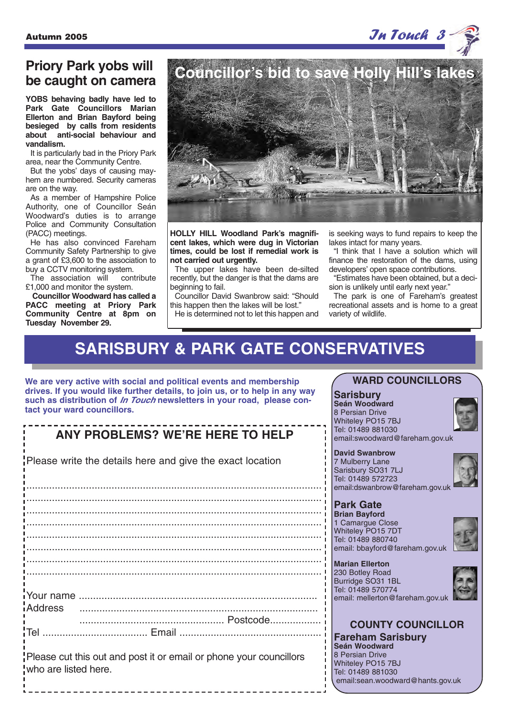Autumn 2005 **In Touch 3** and the set of the set of the set of the set of the set of the set of the set of the set of the set of the set of the set of the set of the set of the set of the set of the set of the set of the se

# **be caught on camera**

**YOBS behaving badly have led to Park Gate Councillors Marian Ellerton and Brian Bayford being besieged by calls from residents about anti-social behaviour and vandalism.**

It is particularly bad in the Priory Park area, near the Community Centre.

But the yobs' days of causing mayhem are numbered. Security cameras are on the way.

As a member of Hampshire Police Authority, one of Councillor Seán Woodward's duties is to arrange Police and Community Consultation (PACC) meetings.

He has also convinced Fareham Community Safety Partnership to give a grant of £3,600 to the association to buy a CCTV monitoring system.

The association will contribute £1,000 and monitor the system.

**Councillor Woodward has called a PACC meeting at Priory Park Community Centre at 8pm on Tuesday November 29.**



**HOLLY HILL Woodland Park's magnificent lakes, which were dug in Victorian times, could be lost if remedial work is not carried out urgently.**

The upper lakes have been de-silted recently, but the danger is that the dams are beginning to fail.

Councillor David Swanbrow said: "Should this happen then the lakes will be lost."

He is determined not to let this happen and

is seeking ways to fund repairs to keep the lakes intact for many years.

"I think that I have a solution which will finance the restoration of the dams, using developers' open space contributions.

"Estimates have been obtained, but a decision is unlikely until early next year."

The park is one of Fareham's greatest recreational assets and is home to a great variety of wildlife.

# **SARISBURY & PARK GATE CONSERVATIVES**

**We are very active with social and political events and membership drives. If you would like further details, to join us, or to help in any way such as distribution of In Touch newsletters in your road, please contact your ward councillors.**

## **ANY PROBLEMS? WE'RE HERE TO HELP**

Please write the details here and give the exact location

........................................................................................................ ........................................................................................................ ........................................................................................................ ........................................................................................................ ........................................................................................................ Your name .................................................................................... Address .................................................................................... ................................................... Postcode.................. Tel ..................................... Email ..................................................

Please cut this out and post it or email or phone your councillors who are listed here.

#### **WARD COUNCILLORS**

**Sarisbury Seán Woodward** 8 Persian Drive Whiteley PO15 7BJ Tel: 01489 881030 email:swoodward@fareham.gov.uk

#### **David Swanbrow**

7 Mulberry Lane Sarisbury SO31 7LJ Tel: 01489 572723 email:dswanbrow@fareham.gov.uk

#### **Park Gate**

**Brian Bayford** 1 Camargue Close Whiteley PO15 7DT Tel: 01489 880740 email: bbayford@fareham.gov.uk



**Marian Ellerton** 230 Botley Road Burridge SO31 1BL Tel: 01489 570774 email: mellerton@fareham.gov.uk



## **COUNTY COUNCILLOR Fareham Sarisbury Seán Woodward**

8 Persian Drive Whiteley PO15 7BJ Tel: 01489 881030 email:sean.woodward@hants.gov.uk